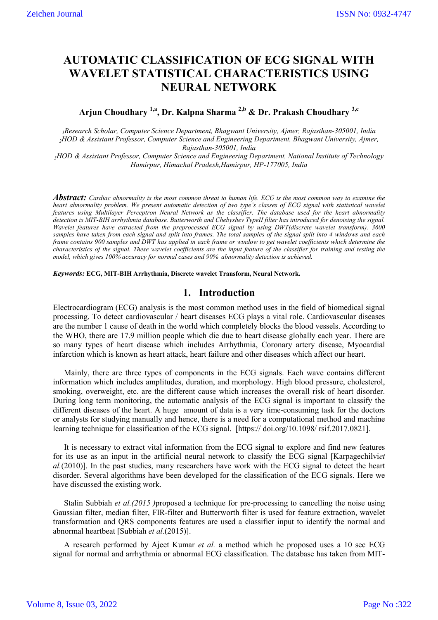# **AUTOMATIC CLASSIFICATION OF ECG SIGNAL WITH WAVELET STATISTICAL CHARACTERISTICS USING NEURAL NETWORK**

# **Arjun Choudhary 1,a, Dr. Kalpna Sharma 2,b & Dr. Prakash Choudhary 3,c**

*1Research Scholar, Computer Science Department, Bhagwant University, Ajmer, Rajasthan-305001, India 2HOD & Assistant Professor, Computer Science and Engineering Department, Bhagwant University, Ajmer, Rajasthan-305001, India*

*3HOD & Assistant Professor, Computer Science and Engineering Department, National Institute of Technology Hamirpur, Himachal Pradesh,Hamirpur, HP-177005, India*

*Abstract: Cardiac abnormality is the most common threat to human life. ECG is the most common way to examine the heart abnormality problem. We present automatic detection of two type's classes of ECG signal with statistical wavelet features using Multilayer Perceptron Neural Network as the classifier. The database used for the heart abnormality detection is MIT-BIH arrhythmia database. Butterworth and Chebyshev TypeII filter has introduced for denoising the signal. Wavelet features have extracted from the preprocessed ECG signal by using DWT(discrete wavelet transform). 3600 samples have taken from each signal and split into frames. The total samples of the signal split into 4 windows and each frame contains 900 samples and DWT has applied in each frame or window to get wavelet coefficients which determine the characteristics of the signal. These wavelet coefficients are the input feature of the classifier for training and testing the model, which gives 100% accuracy for normal cases and 90% abnormality detection is achieved.*

*Keywords:* **ECG, MIT-BIH Arrhythmia, Discrete wavelet Transform, Neural Network.**

## **1. Introduction**

Electrocardiogram (ECG) analysis is the most common method uses in the field of biomedical signal processing. To detect cardiovascular / heart diseases ECG plays a vital role. Cardiovascular diseases are the number 1 cause of death in the world which completely blocks the blood vessels. According to the WHO, there are 17.9 million people which die due to heart disease globally each year. There are so many types of heart disease which includes Arrhythmia, Coronary artery disease, Myocardial infarction which is known as heart attack, heart failure and other diseases which affect our heart.

Mainly, there are three types of components in the ECG signals. Each wave contains different information which includes amplitudes, duration, and morphology. High blood pressure, cholesterol, smoking, overweight, etc. are the different cause which increases the overall risk of heart disorder. During long term monitoring, the automatic analysis of the ECG signal is important to classify the different diseases of the heart. A huge amount of data is a very time-consuming task for the doctors or analysts for studying manually and hence, there is a need for a computational method and machine learning technique for classification of the ECG signal. [https:// doi.org/10.1098/ rsif.2017.0821].

It is necessary to extract vital information from the ECG signal to explore and find new features for its use as an input in the artificial neural network to classify the ECG signal [Karpagechilvi*et al.*(2010)]. In the past studies, many researchers have work with the ECG signal to detect the heart disorder. Several algorithms have been developed for the classification of the ECG signals. Here we have discussed the existing work.

Stalin Subbiah *et al.(2015 )*proposed a technique for pre-processing to cancelling the noise using Gaussian filter, median filter, FIR-filter and Butterworth filter is used for feature extraction, wavelet transformation and QRS components features are used a classifier input to identify the normal and abnormal heartbeat [Subbiah *et al*.(2015)].

A research performed by Ajeet Kumar *et al.* a method which he proposed uses a 10 sec ECG signal for normal and arrhythmia or abnormal ECG classification. The database has taken from MIT-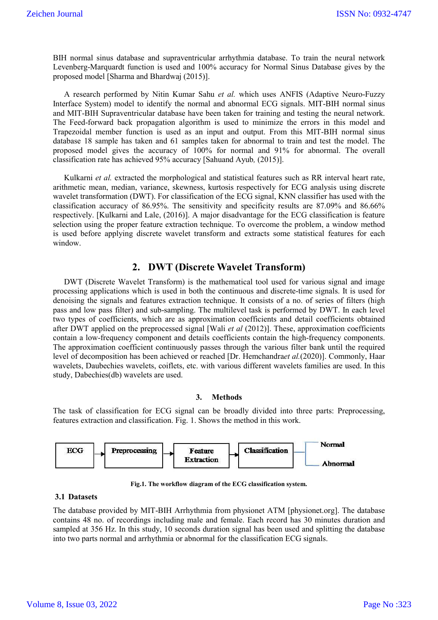BIH normal sinus database and supraventricular arrhythmia database. To train the neural network Levenberg-Marquardt function is used and 100% accuracy for Normal Sinus Database gives by the proposed model [Sharma and Bhardwaj (2015)].

A research performed by Nitin Kumar Sahu *et al.* which uses ANFIS (Adaptive Neuro-Fuzzy Interface System) model to identify the normal and abnormal ECG signals. MIT-BIH normal sinus and MIT-BIH Supraventricular database have been taken for training and testing the neural network. The Feed-forward back propagation algorithm is used to minimize the errors in this model and Trapezoidal member function is used as an input and output. From this MIT-BIH normal sinus database 18 sample has taken and 61 samples taken for abnormal to train and test the model. The proposed model gives the accuracy of 100% for normal and 91% for abnormal. The overall classification rate has achieved 95% accuracy [Sahuand Ayub*,* (2015)].

Kulkarni *et al.* extracted the morphological and statistical features such as RR interval heart rate, arithmetic mean, median, variance, skewness, kurtosis respectively for ECG analysis using discrete wavelet transformation (DWT). For classification of the ECG signal, KNN classifier has used with the classification accuracy of 86.95%. The sensitivity and specificity results are 87.09% and 86.66% respectively. [Kulkarni and Lale, (2016)]. A major disadvantage for the ECG classification is feature selection using the proper feature extraction technique. To overcome the problem, a window method is used before applying discrete wavelet transform and extracts some statistical features for each window.

### **2. DWT (Discrete Wavelet Transform)**

DWT (Discrete Wavelet Transform) is the mathematical tool used for various signal and image processing applications which is used in both the continuous and discrete-time signals. It is used for denoising the signals and features extraction technique. It consists of a no. of series of filters (high pass and low pass filter) and sub-sampling. The multilevel task is performed by DWT. In each level two types of coefficients, which are as approximation coefficients and detail coefficients obtained after DWT applied on the preprocessed signal [Wali *et al* (2012)]. These, approximation coefficients contain a low-frequency component and details coefficients contain the high-frequency components. The approximation coefficient continuously passes through the various filter bank until the required level of decomposition has been achieved or reached [Dr. Hemchandra*et al.*(2020)]. Commonly, Haar wavelets, Daubechies wavelets, coiflets, etc. with various different wavelets families are used. In this study, Dabechies(db) wavelets are used.

#### **3. Methods**

The task of classification for ECG signal can be broadly divided into three parts: Preprocessing, features extraction and classification. Fig. 1. Shows the method in this work.



**Fig.1. The workflow diagram of the ECG classification system.**

#### **3.1 Datasets**

The database provided by MIT-BIH Arrhythmia from physionet ATM [physionet.org]. The database contains 48 no. of recordings including male and female. Each record has 30 minutes duration and sampled at 356 Hz. In this study, 10 seconds duration signal has been used and splitting the database into two parts normal and arrhythmia or abnormal for the classification ECG signals.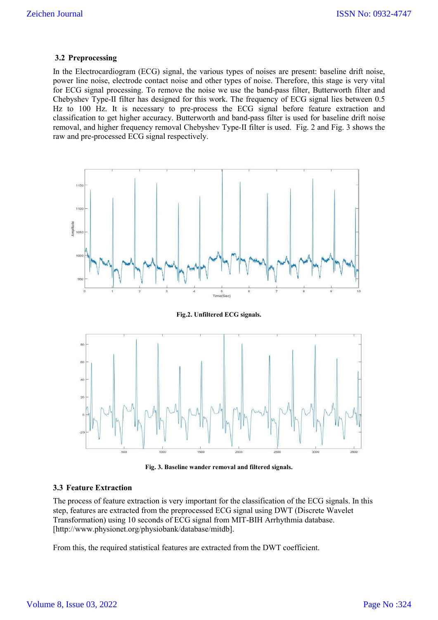#### **3.2 Preprocessing**

In the Electrocardiogram (ECG) signal, the various types of noises are present: baseline drift noise, power line noise, electrode contact noise and other types of noise. Therefore, this stage is very vital for ECG signal processing. To remove the noise we use the band-pass filter, Butterworth filter and Chebyshev Type-II filter has designed for this work. The frequency of ECG signal lies between 0.5 Hz to 100 Hz. It is necessary to pre-process the ECG signal before feature extraction and classification to get higher accuracy. Butterworth and band-pass filter is used for baseline drift noise removal, and higher frequency removal Chebyshev Type-II filter is used. Fig. 2 and Fig. 3 shows the raw and pre-processed ECG signal respectively.



**Fig.2. Unfiltered ECG signals.**



**Fig. 3. Baseline wander removal and filtered signals.**

### **3.3 Feature Extraction**

The process of feature extraction is very important for the classification of the ECG signals. In this step, features are extracted from the preprocessed ECG signal using DWT (Discrete Wavelet Transformation) using 10 seconds of ECG signal from MIT-BIH Arrhythmia database. [http://www.physionet.org/physiobank/database/mitdb].

From this, the required statistical features are extracted from the DWT coefficient.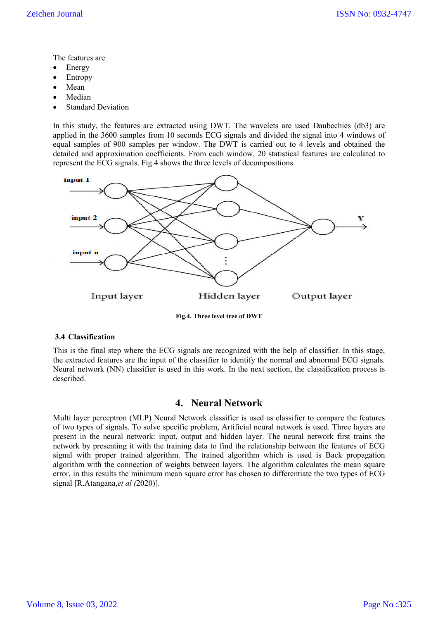The features are

- Energy
- Entropy
- Mean
- Median
- Standard Deviation

In this study, the features are extracted using DWT. The wavelets are used Daubechies (db3) are applied in the 3600 samples from 10 seconds ECG signals and divided the signal into 4 windows of equal samples of 900 samples per window. The DWT is carried out to 4 levels and obtained the detailed and approximation coefficients. From each window, 20 statistical features are calculated to represent the ECG signals. Fig.4 shows the three levels of decompositions.



**Fig.4. Three level tree of DWT**

#### **3.4 Classification**

This is the final step where the ECG signals are recognized with the help of classifier. In this stage, the extracted features are the input of the classifier to identify the normal and abnormal ECG signals. Neural network (NN) classifier is used in this work. In the next section, the classification process is described.

## **4. Neural Network**

Multi layer perceptron (MLP) Neural Network classifier is used as classifier to compare the features of two types of signals. To solve specific problem, Artificial neural network is used. Three layers are present in the neural network: input, output and hidden layer. The neural network first trains the network by presenting it with the training data to find the relationship between the features of ECG signal with proper trained algorithm. The trained algorithm which is used is Back propagation algorithm with the connection of weights between layers. The algorithm calculates the mean square error, in this results the minimum mean square error has chosen to differentiate the two types of ECG signal [R.Atangana,*et al (*2020)].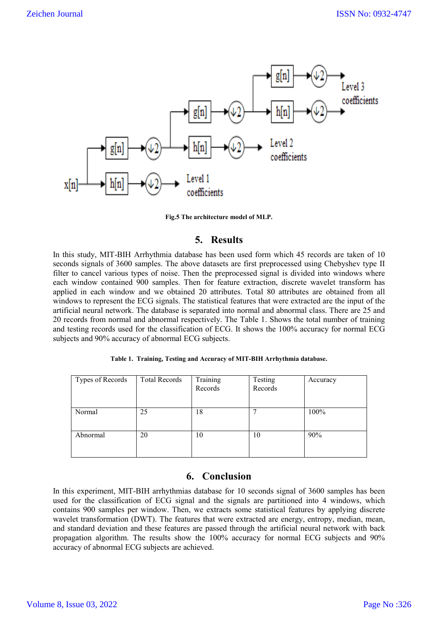

**Fig.5 The architecture model of MLP.**

## **5. Results**

In this study, MIT-BIH Arrhythmia database has been used form which 45 records are taken of 10 seconds signals of 3600 samples. The above datasets are first preprocessed using Chebyshev type II filter to cancel various types of noise. Then the preprocessed signal is divided into windows where each window contained 900 samples. Then for feature extraction, discrete wavelet transform has applied in each window and we obtained 20 attributes. Total 80 attributes are obtained from all windows to represent the ECG signals. The statistical features that were extracted are the input of the artificial neural network. The database is separated into normal and abnormal class. There are 25 and 20 records from normal and abnormal respectively. The Table 1. Shows the total number of training and testing records used for the classification of ECG. It shows the 100% accuracy for normal ECG subjects and 90% accuracy of abnormal ECG subjects.

|  |  |  |  |  | Table 1. Training, Testing and Accuracy of MIT-BIH Arrhythmia database. |
|--|--|--|--|--|-------------------------------------------------------------------------|
|--|--|--|--|--|-------------------------------------------------------------------------|

## **6. Conclusion**

In this experiment, MIT-BIH arrhythmias database for 10 seconds signal of 3600 samples has been used for the classification of ECG signal and the signals are partitioned into 4 windows, which contains 900 samples per window. Then, we extracts some statistical features by applying discrete wavelet transformation (DWT). The features that were extracted are energy, entropy, median, mean, and standard deviation and these features are passed through the artificial neural network with back propagation algorithm. The results show the 100% accuracy for normal ECG subjects and 90% accuracy of abnormal ECG subjects are achieved.